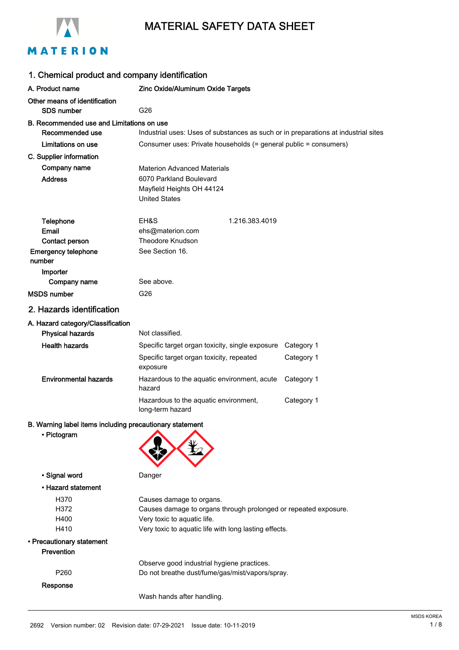

# MATERION

| 1. Chemical product and company identification                            |                                                                                          |            |  |
|---------------------------------------------------------------------------|------------------------------------------------------------------------------------------|------------|--|
| A. Product name                                                           | Zinc Oxide/Aluminum Oxide Targets                                                        |            |  |
| Other means of identification<br>SDS number                               | G26                                                                                      |            |  |
| B. Recommended use and Limitations on use<br>Recommended use              | Industrial uses: Uses of substances as such or in preparations at industrial sites       |            |  |
| Limitations on use                                                        | Consumer uses: Private households (= general public = consumers)                         |            |  |
| C. Supplier information                                                   |                                                                                          |            |  |
| Company name                                                              | <b>Materion Advanced Materials</b>                                                       |            |  |
| <b>Address</b>                                                            | 6070 Parkland Boulevard<br>Mayfield Heights OH 44124<br><b>United States</b>             |            |  |
| <b>Telephone</b><br>Email<br>Contact person<br><b>Emergency telephone</b> | EH&S<br>1.216.383.4019<br>ehs@materion.com<br><b>Theodore Knudson</b><br>See Section 16. |            |  |
| number<br>Importer                                                        |                                                                                          |            |  |
| Company name                                                              | See above.                                                                               |            |  |
| <b>MSDS</b> number                                                        | G26                                                                                      |            |  |
| 2. Hazards identification                                                 |                                                                                          |            |  |
| A. Hazard category/Classification<br><b>Physical hazards</b>              | Not classified.                                                                          |            |  |
| <b>Health hazards</b>                                                     | Specific target organ toxicity, single exposure                                          | Category 1 |  |
|                                                                           | Specific target organ toxicity, repeated<br>exposure                                     | Category 1 |  |
| <b>Environmental hazards</b>                                              | Hazardous to the aquatic environment, acute<br>hazard                                    | Category 1 |  |
|                                                                           | Hazardous to the aquatic environment,<br>long-term hazard                                | Category 1 |  |
| B. Warning label items including precautionary statement<br>• Pictogram   |                                                                                          |            |  |
| • Signal word                                                             | Danger                                                                                   |            |  |
| • Hazard statement                                                        |                                                                                          |            |  |
| H370                                                                      | Causes damage to organs.                                                                 |            |  |
| H372                                                                      | Causes damage to organs through prolonged or repeated exposure.                          |            |  |
| H400                                                                      | Very toxic to aquatic life.                                                              |            |  |
| H410<br>• Precautionary statement<br>Prevention                           | Very toxic to aquatic life with long lasting effects.                                    |            |  |
|                                                                           | Observe good industrial hygiene practices.                                               |            |  |
| P <sub>260</sub>                                                          | Do not breathe dust/fume/gas/mist/vapors/spray.                                          |            |  |
| Response                                                                  | Wash hands after handling.                                                               |            |  |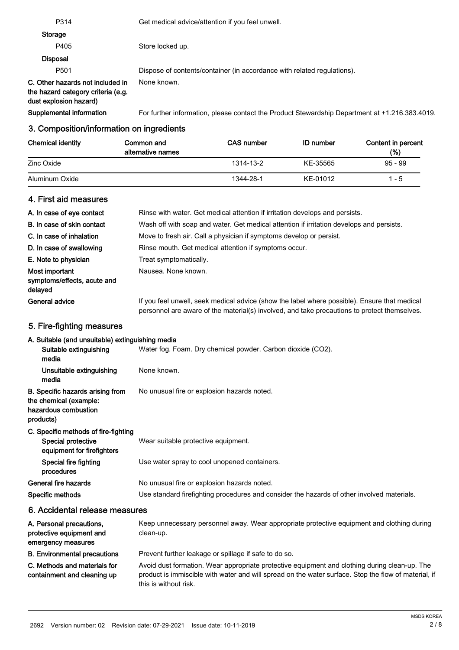| P <sub>501</sub>                                                                                 | Dispose of contents/container (in accordance with related regulations).                        |
|--------------------------------------------------------------------------------------------------|------------------------------------------------------------------------------------------------|
| C. Other hazards not included in<br>the hazard category criteria (e.g.<br>dust explosion hazard) | None known.                                                                                    |
| Supplemental information                                                                         | For further information, please contact the Product Stewardship Department at +1.216.383.4019. |

#### Chemical identity Common and CAS number ID number Content in percent (%) Common and alternative names 1314-13-2 95 - 99Zinc Oxide KE-35565 Aluminum Oxide **1344-28-1** 1344-28-1 KE-01012 1-5

# 4. First aid measures

| A. In case of eye contact                                | Rinse with water. Get medical attention if irritation develops and persists.                                                                                                                 |
|----------------------------------------------------------|----------------------------------------------------------------------------------------------------------------------------------------------------------------------------------------------|
| B. In case of skin contact                               | Wash off with soap and water. Get medical attention if irritation develops and persists.                                                                                                     |
| C. In case of inhalation                                 | Move to fresh air. Call a physician if symptoms develop or persist.                                                                                                                          |
| D. In case of swallowing                                 | Rinse mouth. Get medical attention if symptoms occur.                                                                                                                                        |
| E. Note to physician                                     | Treat symptomatically.                                                                                                                                                                       |
| Most important<br>symptoms/effects, acute and<br>delayed | Nausea. None known.                                                                                                                                                                          |
| <b>General advice</b>                                    | If you feel unwell, seek medical advice (show the label where possible). Ensure that medical<br>personnel are aware of the material(s) involved, and take precautions to protect themselves. |

# 5. Fire-fighting measures

# A. Suitable (and unsuitable) extinguishing media

| $\overline{\phantom{a}}$ . Callable fails anoallable, examgelemig modia                         |                                                                                            |
|-------------------------------------------------------------------------------------------------|--------------------------------------------------------------------------------------------|
| Suitable extinguishing<br>media                                                                 | Water fog. Foam. Dry chemical powder. Carbon dioxide (CO2).                                |
| Unsuitable extinguishing<br>media                                                               | None known.                                                                                |
| B. Specific hazards arising from<br>the chemical (example:<br>hazardous combustion<br>products) | No unusual fire or explosion hazards noted.                                                |
| C. Specific methods of fire-fighting<br>Special protective<br>equipment for firefighters        | Wear suitable protective equipment.                                                        |
| Special fire fighting<br>procedures                                                             | Use water spray to cool unopened containers.                                               |
| General fire hazards                                                                            | No unusual fire or explosion hazards noted.                                                |
| Specific methods                                                                                | Use standard firefighting procedures and consider the hazards of other involved materials. |
| 6. Accidental release measures                                                                  |                                                                                            |

| A. Personal precautions,<br>protective equipment and<br>emergency measures | Keep unnecessary personnel away. Wear appropriate protective equipment and clothing during<br>clean-up.                                                                                                                        |
|----------------------------------------------------------------------------|--------------------------------------------------------------------------------------------------------------------------------------------------------------------------------------------------------------------------------|
| <b>B. Environmental precautions</b>                                        | Prevent further leakage or spillage if safe to do so.                                                                                                                                                                          |
| C. Methods and materials for<br>containment and cleaning up                | Avoid dust formation. Wear appropriate protective equipment and clothing during clean-up. The<br>product is immiscible with water and will spread on the water surface. Stop the flow of material, if<br>this is without risk. |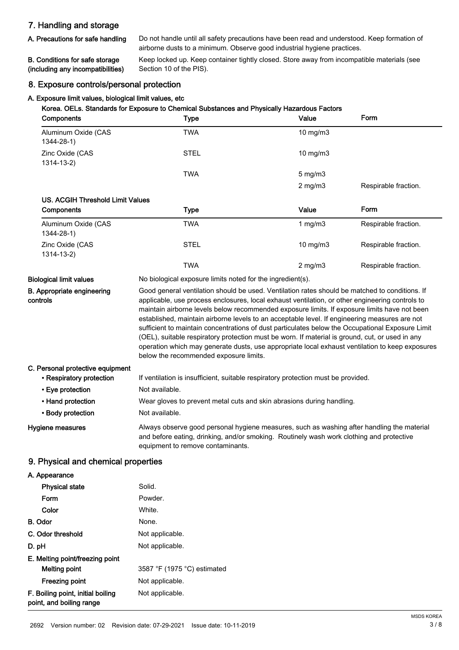# 7. Handling and storage

A. Precautions for safe handling

Do not handle until all safety precautions have been read and understood. Keep formation of airborne dusts to a minimum. Observe good industrial hygiene practices.

#### B. Conditions for safe storage (including any incompatibilities)

Keep locked up. Keep container tightly closed. Store away from incompatible materials (see Section 10 of the PIS).

# 8. Exposure controls/personal protection

#### A. Exposure limit values, biological limit values, etc

| Components                             | Korea. OELs. Standards for Exposure to Chemical Substances and Physically Hazardous Factors<br><b>Type</b>                                                                                                                                                                                                                                                                                                                                                                                                                                                                                                                                                                                                                                             | Value             | Form                 |
|----------------------------------------|--------------------------------------------------------------------------------------------------------------------------------------------------------------------------------------------------------------------------------------------------------------------------------------------------------------------------------------------------------------------------------------------------------------------------------------------------------------------------------------------------------------------------------------------------------------------------------------------------------------------------------------------------------------------------------------------------------------------------------------------------------|-------------------|----------------------|
| Aluminum Oxide (CAS<br>$1344 - 28 - 1$ | <b>TWA</b>                                                                                                                                                                                                                                                                                                                                                                                                                                                                                                                                                                                                                                                                                                                                             | 10 mg/m3          |                      |
| Zinc Oxide (CAS<br>$1314 - 13 - 2$     | <b>STEL</b>                                                                                                                                                                                                                                                                                                                                                                                                                                                                                                                                                                                                                                                                                                                                            | $10$ mg/m $3$     |                      |
|                                        | <b>TWA</b>                                                                                                                                                                                                                                                                                                                                                                                                                                                                                                                                                                                                                                                                                                                                             | $5 \text{ mg/m}$  |                      |
|                                        |                                                                                                                                                                                                                                                                                                                                                                                                                                                                                                                                                                                                                                                                                                                                                        | $2$ mg/m $3$      | Respirable fraction. |
| US. ACGIH Threshold Limit Values       |                                                                                                                                                                                                                                                                                                                                                                                                                                                                                                                                                                                                                                                                                                                                                        |                   |                      |
| Components                             | <b>Type</b>                                                                                                                                                                                                                                                                                                                                                                                                                                                                                                                                                                                                                                                                                                                                            | Value             | Form                 |
| Aluminum Oxide (CAS<br>$1344 - 28 - 1$ | <b>TWA</b>                                                                                                                                                                                                                                                                                                                                                                                                                                                                                                                                                                                                                                                                                                                                             | 1 $mg/m3$         | Respirable fraction. |
| Zinc Oxide (CAS<br>$1314 - 13 - 2$     | <b>STEL</b>                                                                                                                                                                                                                                                                                                                                                                                                                                                                                                                                                                                                                                                                                                                                            | $10 \text{ mg/m}$ | Respirable fraction. |
|                                        | <b>TWA</b>                                                                                                                                                                                                                                                                                                                                                                                                                                                                                                                                                                                                                                                                                                                                             | $2$ mg/m $3$      | Respirable fraction. |
| <b>Biological limit values</b>         | No biological exposure limits noted for the ingredient(s).                                                                                                                                                                                                                                                                                                                                                                                                                                                                                                                                                                                                                                                                                             |                   |                      |
| B. Appropriate engineering<br>controls | Good general ventilation should be used. Ventilation rates should be matched to conditions. If<br>applicable, use process enclosures, local exhaust ventilation, or other engineering controls to<br>maintain airborne levels below recommended exposure limits. If exposure limits have not been<br>established, maintain airborne levels to an acceptable level. If engineering measures are not<br>sufficient to maintain concentrations of dust particulates below the Occupational Exposure Limit<br>(OEL), suitable respiratory protection must be worn. If material is ground, cut, or used in any<br>operation which may generate dusts, use appropriate local exhaust ventilation to keep exposures<br>below the recommended exposure limits. |                   |                      |

# C. Personal protective equipment • Respiratory protection If ventilation is insufficient, suitable respiratory protection must be provided. • Eye protection Not available. • Hand protection **Wear gloves to prevent metal cuts and skin abrasions during handling.** • Body protection Not available.

Hygiene measures

Always observe good personal hygiene measures, such as washing after handling the material and before eating, drinking, and/or smoking. Routinely wash work clothing and protective equipment to remove contaminants.

# 9. Physical and chemical properties

A. Appearance

| <b>Physical state</b>                                         | Solid.                      |
|---------------------------------------------------------------|-----------------------------|
| Form                                                          | Powder.                     |
| Color                                                         | White.                      |
| B. Odor                                                       | None.                       |
| C. Odor threshold                                             | Not applicable.             |
| D. pH                                                         | Not applicable.             |
| E. Melting point/freezing point                               |                             |
| Melting point                                                 | 3587 °F (1975 °C) estimated |
| Freezing point                                                | Not applicable.             |
| F. Boiling point, initial boiling<br>point, and boiling range | Not applicable.             |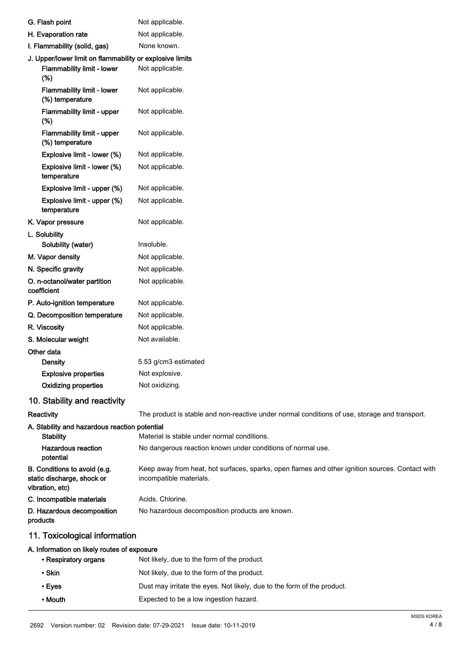| G. Flash point                                                                | Not applicable.                                                                                                            |
|-------------------------------------------------------------------------------|----------------------------------------------------------------------------------------------------------------------------|
| H. Evaporation rate                                                           | Not applicable.                                                                                                            |
| I. Flammability (solid, gas)                                                  | None known.                                                                                                                |
| J. Upper/lower limit on flammability or explosive limits                      |                                                                                                                            |
| Flammability limit - lower<br>(%)                                             | Not applicable.                                                                                                            |
| <b>Flammability limit - lower</b><br>(%) temperature                          | Not applicable.                                                                                                            |
| Flammability limit - upper<br>(%)                                             | Not applicable.                                                                                                            |
| Flammability limit - upper<br>(%) temperature                                 | Not applicable.                                                                                                            |
| Explosive limit - lower (%)                                                   | Not applicable.                                                                                                            |
| Explosive limit - lower (%)<br>temperature                                    | Not applicable.                                                                                                            |
| Explosive limit - upper (%)                                                   | Not applicable.                                                                                                            |
| Explosive limit - upper (%)                                                   | Not applicable.                                                                                                            |
| temperature                                                                   |                                                                                                                            |
| K. Vapor pressure                                                             | Not applicable.                                                                                                            |
| L. Solubility                                                                 |                                                                                                                            |
| Solubility (water)                                                            | Insoluble.                                                                                                                 |
| M. Vapor density                                                              | Not applicable.                                                                                                            |
| N. Specific gravity                                                           | Not applicable.                                                                                                            |
| O. n-octanol/water partition<br>coefficient                                   | Not applicable.                                                                                                            |
| P. Auto-ignition temperature                                                  | Not applicable.                                                                                                            |
| Q. Decomposition temperature                                                  | Not applicable.                                                                                                            |
| R. Viscosity                                                                  | Not applicable.                                                                                                            |
| S. Molecular weight                                                           | Not available.                                                                                                             |
| Other data                                                                    |                                                                                                                            |
| Density                                                                       | 5.53 g/cm3 estimated                                                                                                       |
| <b>Explosive properties</b>                                                   | Not explosive.                                                                                                             |
| <b>Oxidizing properties</b>                                                   | Not oxidizing.                                                                                                             |
| 10. Stability and reactivity                                                  |                                                                                                                            |
| Reactivity                                                                    | The product is stable and non-reactive under normal conditions of use, storage and transport.                              |
| A. Stability and hazardous reaction potential<br><b>Stability</b>             | Material is stable under normal conditions.                                                                                |
| <b>Hazardous reaction</b><br>potential                                        | No dangerous reaction known under conditions of normal use.                                                                |
| B. Conditions to avoid (e.g.<br>static discharge, shock or<br>vibration, etc) | Keep away from heat, hot surfaces, sparks, open flames and other ignition sources. Contact with<br>incompatible materials. |
| C. Incompatible materials                                                     | Acids. Chlorine.                                                                                                           |
| D. Hazardous decomposition<br>products                                        | No hazardous decomposition products are known.                                                                             |
| 11. Toxicological information                                                 |                                                                                                                            |
| A. Information on likely routes of exposure                                   |                                                                                                                            |
| • Respiratory organs                                                          | Not likely, due to the form of the product.                                                                                |
| • Skin                                                                        | Not likely, due to the form of the product.                                                                                |
| • Eyes                                                                        | Dust may irritate the eyes. Not likely, due to the form of the product.                                                    |

• Mouth Expected to be a low ingestion hazard.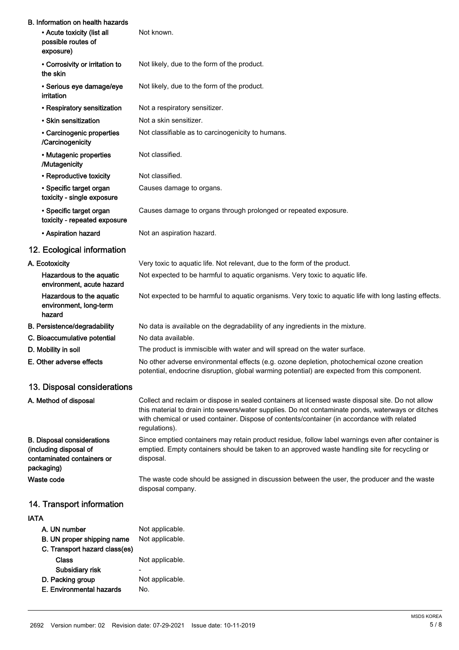| B. Information on health hazards<br>• Acute toxicity (list all<br>possible routes of<br>exposure)       | Not known.                                                                                                                                                                                                                                                                                                            |
|---------------------------------------------------------------------------------------------------------|-----------------------------------------------------------------------------------------------------------------------------------------------------------------------------------------------------------------------------------------------------------------------------------------------------------------------|
| • Corrosivity or irritation to<br>the skin                                                              | Not likely, due to the form of the product.                                                                                                                                                                                                                                                                           |
| · Serious eye damage/eye<br>irritation                                                                  | Not likely, due to the form of the product.                                                                                                                                                                                                                                                                           |
| • Respiratory sensitization                                                                             | Not a respiratory sensitizer.                                                                                                                                                                                                                                                                                         |
| • Skin sensitization                                                                                    | Not a skin sensitizer.                                                                                                                                                                                                                                                                                                |
| • Carcinogenic properties<br>/Carcinogenicity                                                           | Not classifiable as to carcinogenicity to humans.                                                                                                                                                                                                                                                                     |
| • Mutagenic properties<br>/Mutagenicity                                                                 | Not classified.                                                                                                                                                                                                                                                                                                       |
| • Reproductive toxicity                                                                                 | Not classified.                                                                                                                                                                                                                                                                                                       |
| • Specific target organ<br>toxicity - single exposure                                                   | Causes damage to organs.                                                                                                                                                                                                                                                                                              |
| • Specific target organ<br>toxicity - repeated exposure                                                 | Causes damage to organs through prolonged or repeated exposure.                                                                                                                                                                                                                                                       |
| • Aspiration hazard                                                                                     | Not an aspiration hazard.                                                                                                                                                                                                                                                                                             |
| 12. Ecological information                                                                              |                                                                                                                                                                                                                                                                                                                       |
| A. Ecotoxicity                                                                                          | Very toxic to aquatic life. Not relevant, due to the form of the product.                                                                                                                                                                                                                                             |
| Hazardous to the aquatic<br>environment, acute hazard                                                   | Not expected to be harmful to aquatic organisms. Very toxic to aquatic life.                                                                                                                                                                                                                                          |
| Hazardous to the aquatic<br>environment, long-term<br>hazard                                            | Not expected to be harmful to aquatic organisms. Very toxic to aquatic life with long lasting effects.                                                                                                                                                                                                                |
| B. Persistence/degradability                                                                            | No data is available on the degradability of any ingredients in the mixture.                                                                                                                                                                                                                                          |
| C. Bioaccumulative potential                                                                            | No data available.                                                                                                                                                                                                                                                                                                    |
| D. Mobility in soil                                                                                     | The product is immiscible with water and will spread on the water surface.                                                                                                                                                                                                                                            |
| E. Other adverse effects                                                                                | No other adverse environmental effects (e.g. ozone depletion, photochemical ozone creation<br>potential, endocrine disruption, global warming potential) are expected from this component.                                                                                                                            |
| 13. Disposal considerations                                                                             |                                                                                                                                                                                                                                                                                                                       |
| A. Method of disposal                                                                                   | Collect and reclaim or dispose in sealed containers at licensed waste disposal site. Do not allow<br>this material to drain into sewers/water supplies. Do not contaminate ponds, waterways or ditches<br>with chemical or used container. Dispose of contents/container (in accordance with related<br>regulations). |
| <b>B. Disposal considerations</b><br>(including disposal of<br>contaminated containers or<br>packaging) | Since emptied containers may retain product residue, follow label warnings even after container is<br>emptied. Empty containers should be taken to an approved waste handling site for recycling or<br>disposal.                                                                                                      |
| Waste code                                                                                              | The waste code should be assigned in discussion between the user, the producer and the waste<br>disposal company.                                                                                                                                                                                                     |
| 14. Transport information                                                                               |                                                                                                                                                                                                                                                                                                                       |
| <b>IATA</b>                                                                                             |                                                                                                                                                                                                                                                                                                                       |
| A. UN number                                                                                            | Not applicable.                                                                                                                                                                                                                                                                                                       |
| B. UN proper shipping name<br>C. Transport hazard class(es)                                             | Not applicable.                                                                                                                                                                                                                                                                                                       |
| <b>Class</b>                                                                                            | Not applicable.                                                                                                                                                                                                                                                                                                       |
| Subsidiary risk                                                                                         |                                                                                                                                                                                                                                                                                                                       |

D. Packing group Not applicable. E. Environmental hazards No.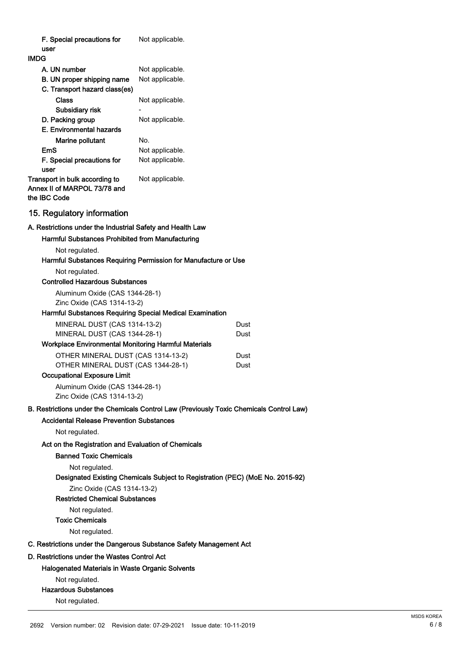| F. Special precautions for                                                               | Not applicable.                                                               |              |
|------------------------------------------------------------------------------------------|-------------------------------------------------------------------------------|--------------|
| user                                                                                     |                                                                               |              |
| <b>IMDG</b>                                                                              |                                                                               |              |
| A. UN number<br>B. UN proper shipping name                                               | Not applicable.                                                               |              |
| C. Transport hazard class(es)                                                            | Not applicable.                                                               |              |
| Class                                                                                    | Not applicable.                                                               |              |
| Subsidiary risk                                                                          |                                                                               |              |
| D. Packing group                                                                         | Not applicable.                                                               |              |
| E. Environmental hazards                                                                 |                                                                               |              |
| Marine pollutant                                                                         | No.                                                                           |              |
| EmS                                                                                      | Not applicable.                                                               |              |
| F. Special precautions for<br>user                                                       | Not applicable.                                                               |              |
| Transport in bulk according to<br>Annex II of MARPOL 73/78 and<br>the IBC Code           | Not applicable.                                                               |              |
| 15. Regulatory information                                                               |                                                                               |              |
| A. Restrictions under the Industrial Safety and Health Law                               |                                                                               |              |
| Harmful Substances Prohibited from Manufacturing                                         |                                                                               |              |
| Not regulated.                                                                           |                                                                               |              |
|                                                                                          | Harmful Substances Requiring Permission for Manufacture or Use                |              |
| Not regulated.                                                                           |                                                                               |              |
| <b>Controlled Hazardous Substances</b>                                                   |                                                                               |              |
| Aluminum Oxide (CAS 1344-28-1)                                                           |                                                                               |              |
| Zinc Oxide (CAS 1314-13-2)                                                               |                                                                               |              |
| Harmful Substances Requiring Special Medical Examination                                 |                                                                               |              |
| MINERAL DUST (CAS 1314-13-2)                                                             |                                                                               | Dust         |
| MINERAL DUST (CAS 1344-28-1)                                                             |                                                                               | Dust         |
| Workplace Environmental Monitoring Harmful Materials                                     |                                                                               |              |
| OTHER MINERAL DUST (CAS 1314-13-2)<br>OTHER MINERAL DUST (CAS 1344-28-1)                 |                                                                               | Dust<br>Dust |
| <b>Occupational Exposure Limit</b>                                                       |                                                                               |              |
| Aluminum Oxide (CAS 1344-28-1)                                                           |                                                                               |              |
| Zinc Oxide (CAS 1314-13-2)                                                               |                                                                               |              |
| B. Restrictions under the Chemicals Control Law (Previously Toxic Chemicals Control Law) |                                                                               |              |
| <b>Accidental Release Prevention Substances</b>                                          |                                                                               |              |
| Not regulated.                                                                           |                                                                               |              |
| Act on the Registration and Evaluation of Chemicals                                      |                                                                               |              |
| <b>Banned Toxic Chemicals</b>                                                            |                                                                               |              |
| Not regulated.                                                                           |                                                                               |              |
|                                                                                          | Designated Existing Chemicals Subject to Registration (PEC) (MoE No. 2015-92) |              |
| Zinc Oxide (CAS 1314-13-2)                                                               |                                                                               |              |
| <b>Restricted Chemical Substances</b>                                                    |                                                                               |              |
| Not regulated.                                                                           |                                                                               |              |
| Toxic Chemicals                                                                          |                                                                               |              |
| Not regulated.                                                                           |                                                                               |              |
| C. Restrictions under the Dangerous Substance Safety Management Act                      |                                                                               |              |
| D. Restrictions under the Wastes Control Act                                             |                                                                               |              |
| <b>Halogenated Materials in Waste Organic Solvents</b>                                   |                                                                               |              |
| Not regulated.                                                                           |                                                                               |              |
| <b>Hazardous Substances</b>                                                              |                                                                               |              |
| Not regulated.                                                                           |                                                                               |              |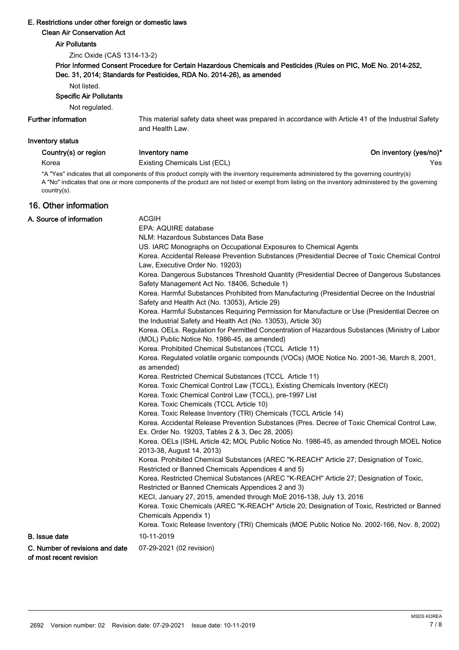### E. Restrictions under other foreign or domestic laws

#### Clean Air Conservation Act

#### Air Pollutants

Zinc Oxide (CAS 1314-13-2)

#### Prior Informed Consent Procedure for Certain Hazardous Chemicals and Pesticides (Rules on PIC, MoE No. 2014-252, Dec. 31, 2014; Standards for Pesticides, RDA No. 2014-26), as amended

Not listed.

#### Specific Air Pollutants

Not regulated.

#### Further information

This material safety data sheet was prepared in accordance with Article 41 of the Industrial Safety and Health Law.

### Inventory status

Korea **Existing Chemicals List (ECL) Existing Chemicals List (ECL) Nes** 

Country(s) or region Inventory name **Inventory name** Country(s) on inventory (yes/no)\*

\*A "Yes" indicates that all components of this product comply with the inventory requirements administered by the governing country(s) A "No" indicates that one or more components of the product are not listed or exempt from listing on the inventory administered by the governing country(s).

# 16. Other information

| A. Source of information                                   | <b>ACGIH</b><br>EPA: AQUIRE database                                                                                                                           |  |  |
|------------------------------------------------------------|----------------------------------------------------------------------------------------------------------------------------------------------------------------|--|--|
|                                                            | NLM: Hazardous Substances Data Base                                                                                                                            |  |  |
|                                                            | US. IARC Monographs on Occupational Exposures to Chemical Agents                                                                                               |  |  |
|                                                            | Korea. Accidental Release Prevention Substances (Presidential Decree of Toxic Chemical Control                                                                 |  |  |
|                                                            | Law, Executive Order No. 19203)                                                                                                                                |  |  |
|                                                            | Korea. Dangerous Substances Threshold Quantity (Presidential Decree of Dangerous Substances<br>Safety Management Act No. 18406, Schedule 1)                    |  |  |
|                                                            | Korea. Harmful Substances Prohibited from Manufacturing (Presidential Decree on the Industrial<br>Safety and Health Act (No. 13053), Article 29)               |  |  |
|                                                            | Korea. Harmful Substances Requiring Permission for Manufacture or Use (Presidential Decree on<br>the Industrial Safety and Health Act (No. 13053), Article 30) |  |  |
|                                                            | Korea. OELs. Regulation for Permitted Concentration of Hazardous Substances (Ministry of Labor<br>(MOL) Public Notice No. 1986-45, as amended)                 |  |  |
|                                                            | Korea. Prohibited Chemical Substances (TCCL Article 11)                                                                                                        |  |  |
|                                                            | Korea. Regulated volatile organic compounds (VOCs) (MOE Notice No. 2001-36, March 8, 2001,<br>as amended)                                                      |  |  |
|                                                            | Korea. Restricted Chemical Substances (TCCL Article 11)                                                                                                        |  |  |
|                                                            | Korea. Toxic Chemical Control Law (TCCL), Existing Chemicals Inventory (KECI)                                                                                  |  |  |
|                                                            | Korea. Toxic Chemical Control Law (TCCL), pre-1997 List                                                                                                        |  |  |
|                                                            | Korea. Toxic Chemicals (TCCL Article 10)                                                                                                                       |  |  |
|                                                            | Korea. Toxic Release Inventory (TRI) Chemicals (TCCL Article 14)                                                                                               |  |  |
|                                                            | Korea. Accidental Release Prevention Substances (Pres. Decree of Toxic Chemical Control Law,<br>Ex. Order No. 19203, Tables 2 & 3, Dec 28, 2005)               |  |  |
|                                                            | Korea. OELs (ISHL Article 42; MOL Public Notice No. 1986-45, as amended through MOEL Notice<br>2013-38, August 14, 2013)                                       |  |  |
|                                                            | Korea. Prohibited Chemical Substances (AREC "K-REACH" Article 27; Designation of Toxic,<br>Restricted or Banned Chemicals Appendices 4 and 5)                  |  |  |
|                                                            | Korea. Restricted Chemical Substances (AREC "K-REACH" Article 27; Designation of Toxic,<br>Restricted or Banned Chemicals Appendices 2 and 3)                  |  |  |
|                                                            | KECI, January 27, 2015, amended through MoE 2016-138, July 13, 2016                                                                                            |  |  |
|                                                            | Korea. Toxic Chemicals (AREC "K-REACH" Article 20; Designation of Toxic, Restricted or Banned<br>Chemicals Appendix 1)                                         |  |  |
|                                                            | Korea. Toxic Release Inventory (TRI) Chemicals (MOE Public Notice No. 2002-166, Nov. 8, 2002)                                                                  |  |  |
| <b>B.</b> Issue date                                       | 10-11-2019                                                                                                                                                     |  |  |
| C. Number of revisions and date<br>of most recent revision | 07-29-2021 (02 revision)                                                                                                                                       |  |  |